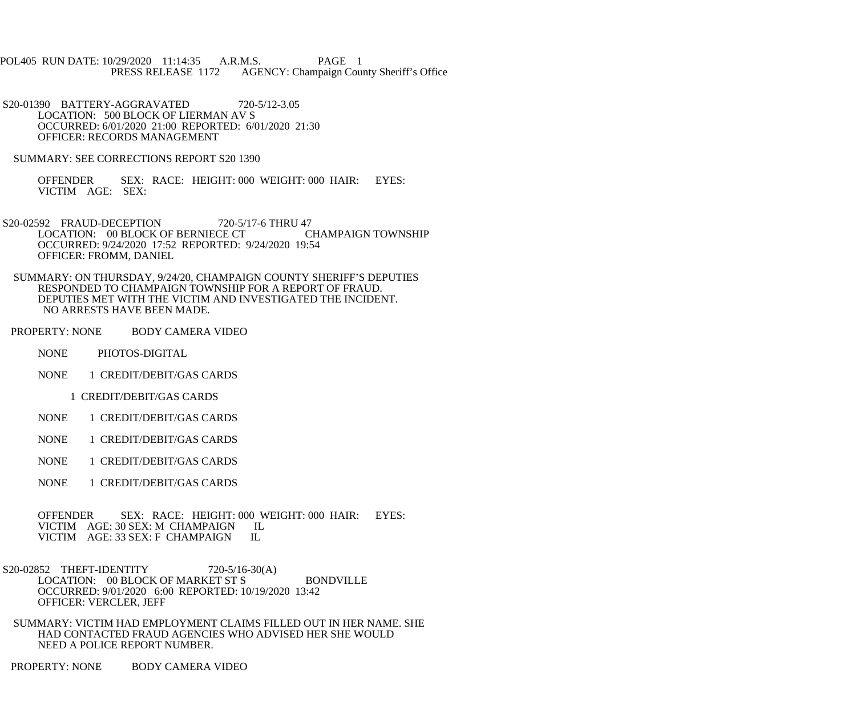POL405 RUN DATE: 10/29/2020 11:14:35 A.R.M.S. PAGE 1<br>PRESS RELEASE 1172 AGENCY: Champaign Cou AGENCY: Champaign County Sheriff's Office

 S20-01390 BATTERY-AGGRAVATED 720-5/12-3.05 LOCATION: 500 BLOCK OF LIERMAN AV S OCCURRED: 6/01/2020 21:00 REPORTED: 6/01/2020 21:30 OFFICER: RECORDS MANAGEMENT

SUMMARY: SEE CORRECTIONS REPORT S20 1390

 OFFENDER SEX: RACE: HEIGHT: 000 WEIGHT: 000 HAIR: EYES: VICTIM AGE: SEX:

S20-02592 FRAUD-DECEPTION 720-5/17-6 THRU 47<br>LOCATION: 00 BLOCK OF BERNIECE CT CHAMPAIGN TOWNSHIP LOCATION: 00 BLOCK OF BERNIECE CT OCCURRED: 9/24/2020 17:52 REPORTED: 9/24/2020 19:54 OFFICER: FROMM, DANIEL

 SUMMARY: ON THURSDAY, 9/24/20, CHAMPAIGN COUNTY SHERIFF'S DEPUTIES RESPONDED TO CHAMPAIGN TOWNSHIP FOR A REPORT OF FRAUD. DEPUTIES MET WITH THE VICTIM AND INVESTIGATED THE INCIDENT. NO ARRESTS HAVE BEEN MADE.

PROPERTY: NONE BODY CAMERA VIDEO

NONE PHOTOS-DIGITAL

NONE 1 CREDIT/DEBIT/GAS CARDS

1 CREDIT/DEBIT/GAS CARDS

NONE 1 CREDIT/DEBIT/GAS CARDS

NONE 1 CREDIT/DEBIT/GAS CARDS

NONE 1 CREDIT/DEBIT/GAS CARDS

NONE 1 CREDIT/DEBIT/GAS CARDS

 OFFENDER SEX: RACE: HEIGHT: 000 WEIGHT: 000 HAIR: EYES: VICTIM AGE: 30 SEX: M CHAMPAIGN IL<br>VICTIM AGE: 33 SEX: F CHAMPAIGN IL VICTIM AGE: 33 SEX: F CHAMPAIGN

S20-02852 THEFT-IDENTITY 720-5/16-30(A) LOCATION: 00 BLOCK OF MARKET ST S BONDVILLE OCCURRED: 9/01/2020 6:00 REPORTED: 10/19/2020 13:42 OFFICER: VERCLER, JEFF

 SUMMARY: VICTIM HAD EMPLOYMENT CLAIMS FILLED OUT IN HER NAME. SHE HAD CONTACTED FRAUD AGENCIES WHO ADVISED HER SHE WOULD NEED A POLICE REPORT NUMBER.

PROPERTY: NONE BODY CAMERA VIDEO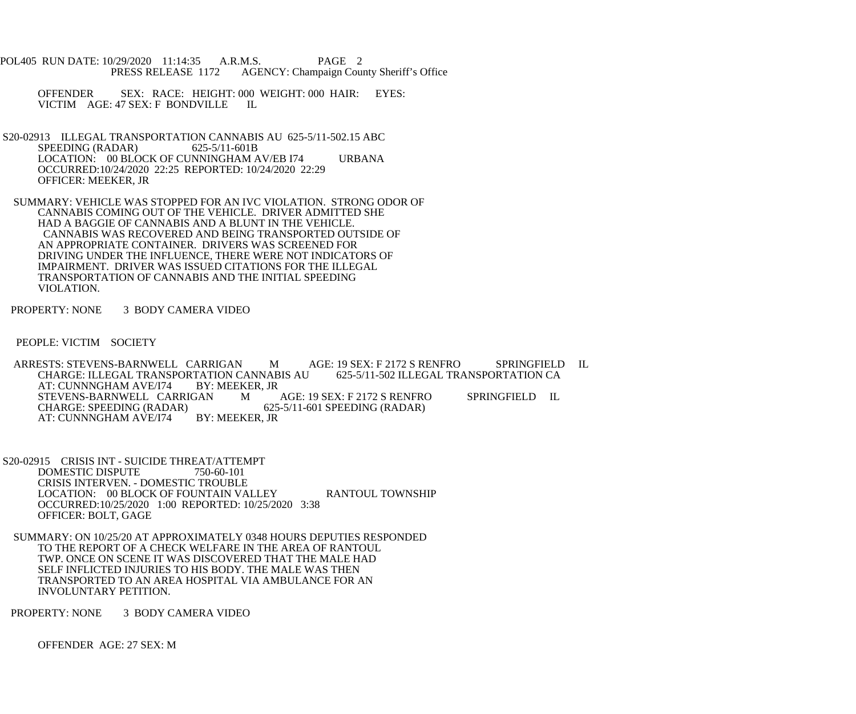POL405 RUN DATE: 10/29/2020 11:14:35 A.R.M.S. PAGE 2<br>PRESS RELEASE 1172 AGENCY: Champaign Cou AGENCY: Champaign County Sheriff's Office

OFFENDER SEX: RACE: HEIGHT: 000 WEIGHT: 000 HAIR: EYES: VICTIM AGE: 47 SEX: F BONDVILLE IL VICTIM AGE: 47 SEX: F BONDVILLE

- S20-02913 ILLEGAL TRANSPORTATION CANNABIS AU 625-5/11-502.15 ABC<br>SPEEDING (RADAR) 625-5/11-601B SPEEDING (RADAR) LOCATION: 00 BLOCK OF CUNNINGHAM AV/EB I74 URBANA OCCURRED:10/24/2020 22:25 REPORTED: 10/24/2020 22:29 OFFICER: MEEKER, JR
- SUMMARY: VEHICLE WAS STOPPED FOR AN IVC VIOLATION. STRONG ODOR OF CANNABIS COMING OUT OF THE VEHICLE. DRIVER ADMITTED SHE HAD A BAGGIE OF CANNABIS AND A BLUNT IN THE VEHICLE. CANNABIS WAS RECOVERED AND BEING TRANSPORTED OUTSIDE OF AN APPROPRIATE CONTAINER. DRIVERS WAS SCREENED FOR DRIVING UNDER THE INFLUENCE, THERE WERE NOT INDICATORS OF IMPAIRMENT. DRIVER WAS ISSUED CITATIONS FOR THE ILLEGAL TRANSPORTATION OF CANNABIS AND THE INITIAL SPEEDING VIOLATION.

PROPERTY: NONE 3 BODY CAMERA VIDEO

PEOPLE: VICTIM SOCIETY

 ARRESTS: STEVENS-BARNWELL CARRIGAN M AGE: 19 SEX: F 2172 S RENFRO SPRINGFIELD IL CHARGE: ILLEGAL TRANSPORTATION CANNABIS AU AT: CUNNNGHAM AVE/I74 BY: MEEKER. JR AT: CUNNNGHAM AVE/I74 BY: MEEKER, JR<br>STEVENS-BARNWELL CARRIGAN MAGE: 19 SEX: F 2172 S RENFRO STEVENS-BARNWELL CARRIGAN M AGE: 19 SEX: F 2172 S RENFRO SPRINGFIELD IL<br>CHARGE: SPEEDING (RADAR) 625-5/11-601 SPEEDING (RADAR) 625-5/11-601 SPEEDING (RADAR)<br>BY: MEEKER. JR AT: CUNNNGHAM AVE/I74

- S20-02915 CRISIS INT SUICIDE THREAT/ATTEMPT DOMESTIC DISPUTE 750-60-101 CRISIS INTERVEN. - DOMESTIC TROUBLE LOCATION: 00 BLOCK OF FOUNTAIN VALLEY RANTOUL TOWNSHIP OCCURRED:10/25/2020 1:00 REPORTED: 10/25/2020 3:38 OFFICER: BOLT, GAGE
- SUMMARY: ON 10/25/20 AT APPROXIMATELY 0348 HOURS DEPUTIES RESPONDED TO THE REPORT OF A CHECK WELFARE IN THE AREA OF RANTOUL TWP. ONCE ON SCENE IT WAS DISCOVERED THAT THE MALE HAD SELF INFLICTED INJURIES TO HIS BODY. THE MALE WAS THEN TRANSPORTED TO AN AREA HOSPITAL VIA AMBULANCE FOR AN INVOLUNTARY PETITION.

PROPERTY: NONE 3 BODY CAMERA VIDEO

OFFENDER AGE: 27 SEX: M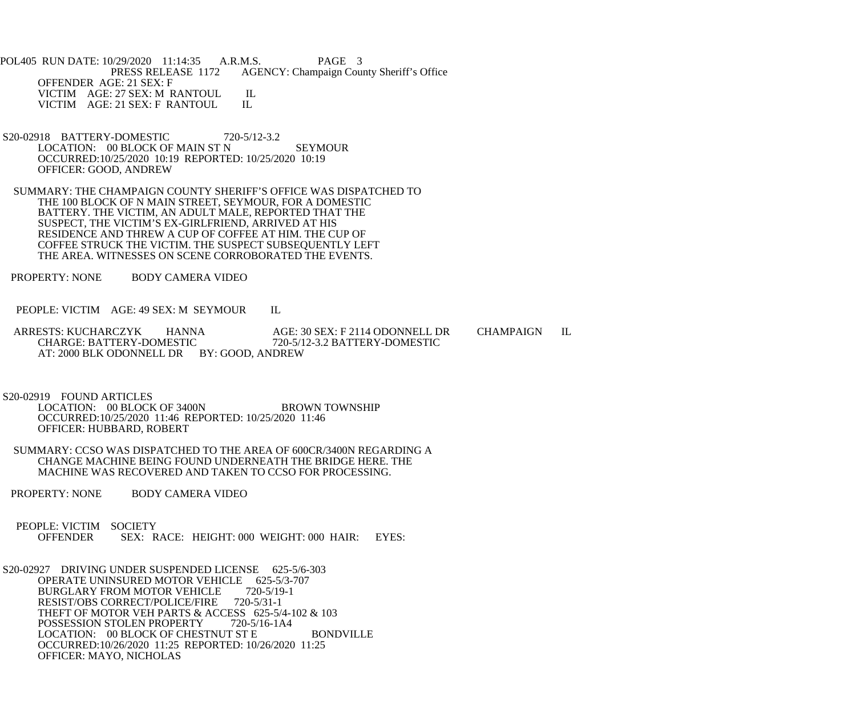POL405 RUN DATE: 10/29/2020 11:14:35 A.R.M.S. PAGE 3<br>PRESS RELEASE 1172 AGENCY: Champaign Cou AGENCY: Champaign County Sheriff's Office OFFENDER AGE: 21 SEX: F VICTIM AGE: 27 SEX: M RANTOUL IL<br>VICTIM AGE: 21 SEX: F RANTOUL IL VICTIM AGE: 21 SEX: F RANTOUL

- S20-02918 BATTERY-DOMESTIC 720-5/12-3.2 LOCATION: 00 BLOCK OF MAIN ST N SEYMOUR OCCURRED:10/25/2020 10:19 REPORTED: 10/25/2020 10:19 OFFICER: GOOD, ANDREW
- SUMMARY: THE CHAMPAIGN COUNTY SHERIFF'S OFFICE WAS DISPATCHED TO THE 100 BLOCK OF N MAIN STREET, SEYMOUR, FOR A DOMESTIC BATTERY. THE VICTIM, AN ADULT MALE, REPORTED THAT THE SUSPECT, THE VICTIM'S EX-GIRLFRIEND, ARRIVED AT HIS RESIDENCE AND THREW A CUP OF COFFEE AT HIM. THE CUP OF COFFEE STRUCK THE VICTIM. THE SUSPECT SUBSEQUENTLY LEFT THE AREA. WITNESSES ON SCENE CORROBORATED THE EVENTS.
- PROPERTY: NONE BODY CAMERA VIDEO
- PEOPLE: VICTIM AGE: 49 SEX: M SEYMOUR IL
- ARRESTS: KUCHARCZYK HANNA AGE: 30 SEX: F 2114 ODONNELL DR CHAMPAIGN IL CHARGE: BATTERY-DOMESTIC 720-5/12-3.2 BATTERY-DOMESTIC CHARGE: BATTERY-DOMESTIC 720-5/12-3.2 BATTERY-DOMESTIC AT: 2000 BLK ODONNELL DR BY: GOOD, ANDREW

S20-02919 FOUND ARTICLES

LOCATION: 00 BLOCK OF 3400N BROWN TOWNSHIP OCCURRED:10/25/2020 11:46 REPORTED: 10/25/2020 11:46 OFFICER: HUBBARD, ROBERT

- SUMMARY: CCSO WAS DISPATCHED TO THE AREA OF 600CR/3400N REGARDING A CHANGE MACHINE BEING FOUND UNDERNEATH THE BRIDGE HERE. THE MACHINE WAS RECOVERED AND TAKEN TO CCSO FOR PROCESSING.
- PROPERTY: NONE BODY CAMERA VIDEO
- PEOPLE: VICTIM SOCIETY<br>OFFENDER SEX: R SEX: RACE: HEIGHT: 000 WEIGHT: 000 HAIR: EYES:

 S20-02927 DRIVING UNDER SUSPENDED LICENSE 625-5/6-303 OPERATE UNINSURED MOTOR VEHICLE 625-5/3-707<br>BURGLARY FROM MOTOR VEHICLE 720-5/19-1 BURGLARY FROM MOTOR VEHICLE RESIST/OBS CORRECT/POLICE/FIRE 720-5/31-1 THEFT OF MOTOR VEH PARTS & ACCESS 625-5/4-102 & 103<br>POSSESSION STOLEN PROPERTY 720-5/16-1A4 POSSESSION STOLEN PROPERTY LOCATION: 00 BLOCK OF CHESTNUT ST E BONDVILLE OCCURRED:10/26/2020 11:25 REPORTED: 10/26/2020 11:25 OFFICER: MAYO, NICHOLAS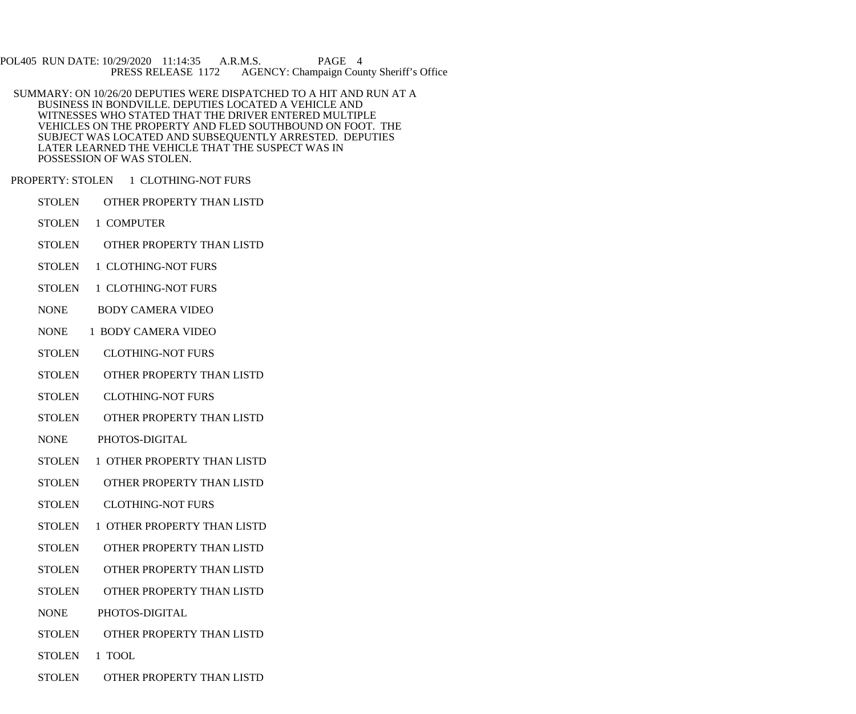POL405 RUN DATE: 10/29/2020 11:14:35 A.R.M.S. PAGE 4<br>PRESS RELEASE 1172 AGENCY: Champaign Cou AGENCY: Champaign County Sheriff's Office

 SUMMARY: ON 10/26/20 DEPUTIES WERE DISPATCHED TO A HIT AND RUN AT A BUSINESS IN BONDVILLE. DEPUTIES LOCATED A VEHICLE AND WITNESSES WHO STATED THAT THE DRIVER ENTERED MULTIPLE VEHICLES ON THE PROPERTY AND FLED SOUTHBOUND ON FOOT. THE SUBJECT WAS LOCATED AND SUBSEQUENTLY ARRESTED. DEPUTIES LATER LEARNED THE VEHICLE THAT THE SUSPECT WAS IN POSSESSION OF WAS STOLEN.

PROPERTY: STOLEN 1 CLOTHING-NOT FURS

- STOLEN OTHER PROPERTY THAN LISTD
- STOLEN 1 COMPUTER
- STOLEN OTHER PROPERTY THAN LISTD
- STOLEN 1 CLOTHING-NOT FURS
- STOLEN 1 CLOTHING-NOT FURS
- NONE BODY CAMERA VIDEO
- NONE 1 BODY CAMERA VIDEO
- STOLEN CLOTHING-NOT FURS
- STOLEN OTHER PROPERTY THAN LISTD
- STOLEN CLOTHING-NOT FURS
- STOLEN OTHER PROPERTY THAN LISTD
- NONE PHOTOS-DIGITAL
- STOLEN 1 OTHER PROPERTY THAN LISTD
- STOLEN OTHER PROPERTY THAN LISTD
- STOLEN CLOTHING-NOT FURS
- STOLEN 1 OTHER PROPERTY THAN LISTD
- STOLEN OTHER PROPERTY THAN LISTD
- STOLEN OTHER PROPERTY THAN LISTD
- STOLEN OTHER PROPERTY THAN LISTD
- NONE PHOTOS-DIGITAL
- STOLEN OTHER PROPERTY THAN LISTD
- STOLEN 1 TOOL
- STOLEN OTHER PROPERTY THAN LISTD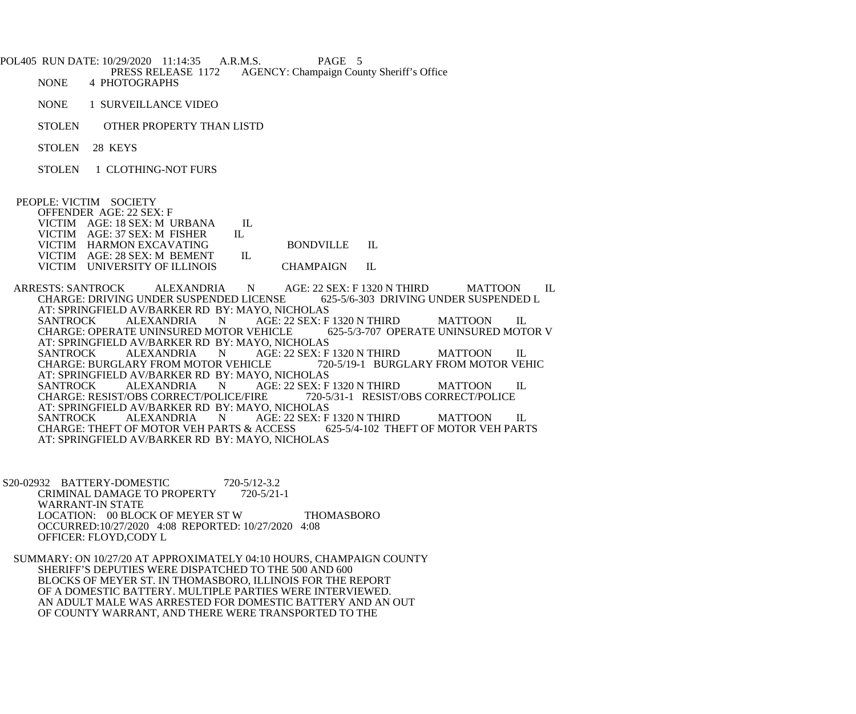POL405 RUN DATE: 10/29/2020 11:14:35 A.R.M.S. PAGE 5<br>PRESS RELEASE 1172 AGENCY: Champaign Cou PRESS RELEASE 1172 AGENCY: Champaign County Sheriff's Office<br>NONE 4 PHOTOGRAPHS 4 PHOTOGRAPHS NONE 1 SURVEILLANCE VIDEO STOLEN OTHER PROPERTY THAN LISTD STOLEN 28 KEYS STOLEN 1 CLOTHING-NOT FURS PEOPLE: VICTIM SOCIETY OFFENDER AGE: 22 SEX: F VICTIM AGE: 18 SEX: M URBANA IL<br>VICTIM AGE: 37 SEX: M FISHER IL VICTIM AGE: 37 SEX: M FISHER VICTIM HARMON EXCAVATING BONDVILLE IL VICTIM AGE: 28 SEX: M BEMENT IL VICTIM UNIVERSITY OF ILLINOIS CHAMPAIGN IL ARRESTS: SANTROCK ALEXANDRIA N AGE: 22 SEX: F 1320 N THIRD MATTOON IL CHARGE: DRIVING UNDER SUSPENDED L CHARGE: DRIVING UNDER SUSPENDED LICENSE AT: SPRINGFIELD AV/BARKER RD BY: MAYO, NICHOLAS<br>SANTROCK ALEXANDRIA N AGE: 22 SEX: F AGE: 22 SEX: F 1320 N THIRD MATTOON IL<br>EHICLE 625-5/3-707 OPERATE UNINSURED MOTOR V CHARGE: OPERATE UNINSURED MOTOR VEHICLE AT: SPRINGFIELD AV/BARKER RD BY: MAYO, NICHOLAS<br>SANTROCK ALEXANDRIA N AGE: 22 SEX: F N AGE: 22 SEX: F 1320 N THIRD MATTOON IL<br>DR VEHICLE 720-5/19-1 BURGLARY FROM MOTOR VEHIC CHARGE: BURGLARY FROM MOTOR VEHICLE AT: SPRINGFIELD AV/BARKER RD BY: MAYO, NICHOLAS<br>SANTROCK ALEXANDRIA N AGE: 22 SEX: F AGE: 22 SEX: F 1320 N THIRD MATTOON IL RESSIST/OBS CORRECT/POLICE CHARGE: RESIST/OBS CORRECT/POLICE/FIRE AT: SPRINGFIELD AV/BARKER RD BY: MAYO, NICHOLAS<br>SANTROCK ALEXANDRIA N AGE: 22 SEX: F N AGE: 22 SEX: F 1320 N THIRD MATTOON IL<br>ARTS & ACCESS 625-5/4-102 THEFT OF MOTOR VEH PARTS CHARGE: THEFT OF MOTOR VEH PARTS & ACCESS AT: SPRINGFIELD AV/BARKER RD BY: MAYO, NICHOLAS

 S20-02932 BATTERY-DOMESTIC 720-5/12-3.2 CRIMINAL DAMAGE TO PROPERTY 720-5/21-1 WARRANT-IN STATE LOCATION: 00 BLOCK OF MEYER ST W THOMASBORO OCCURRED:10/27/2020 4:08 REPORTED: 10/27/2020 4:08 OFFICER: FLOYD,CODY L

 SUMMARY: ON 10/27/20 AT APPROXIMATELY 04:10 HOURS, CHAMPAIGN COUNTY SHERIFF'S DEPUTIES WERE DISPATCHED TO THE 500 AND 600 BLOCKS OF MEYER ST. IN THOMASBORO, ILLINOIS FOR THE REPORT OF A DOMESTIC BATTERY. MULTIPLE PARTIES WERE INTERVIEWED. AN ADULT MALE WAS ARRESTED FOR DOMESTIC BATTERY AND AN OUT OF COUNTY WARRANT, AND THERE WERE TRANSPORTED TO THE